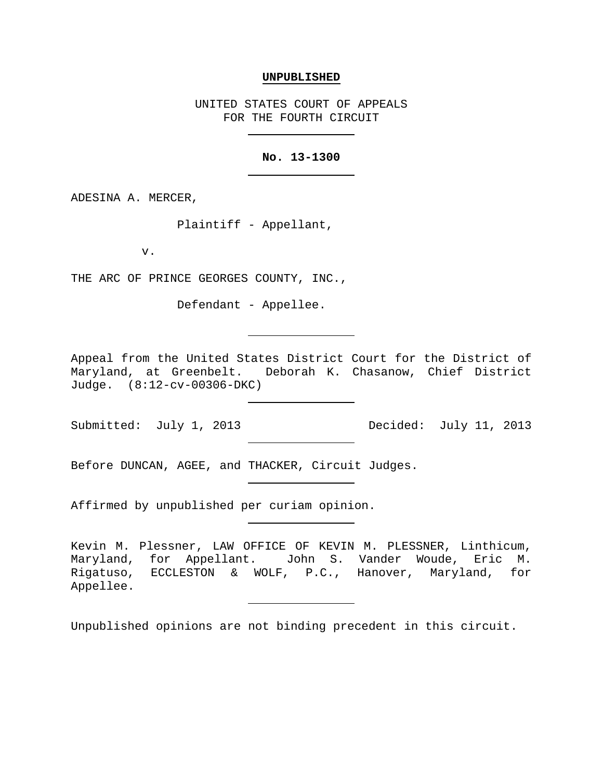#### **UNPUBLISHED**

UNITED STATES COURT OF APPEALS FOR THE FOURTH CIRCUIT

## **No. 13-1300**

ADESINA A. MERCER,

Plaintiff - Appellant,

v.

THE ARC OF PRINCE GEORGES COUNTY, INC.,

Defendant - Appellee.

Appeal from the United States District Court for the District of<br>Maryland, at Greenbelt. Deborah K. Chasanow, Chief District Deborah K. Chasanow, Chief District Judge. (8:12-cv-00306-DKC)

Before DUNCAN, AGEE, and THACKER, Circuit Judges.

Affirmed by unpublished per curiam opinion.

Kevin M. Plessner, LAW OFFICE OF KEVIN M. PLESSNER, Linthicum, Maryland, for Appellant. John S. Vander Woude, Eric M. Rigatuso, ECCLESTON & WOLF, P.C., Hanover, Maryland, for Appellee.

Unpublished opinions are not binding precedent in this circuit.

Submitted: July 1, 2013 Decided: July 11, 2013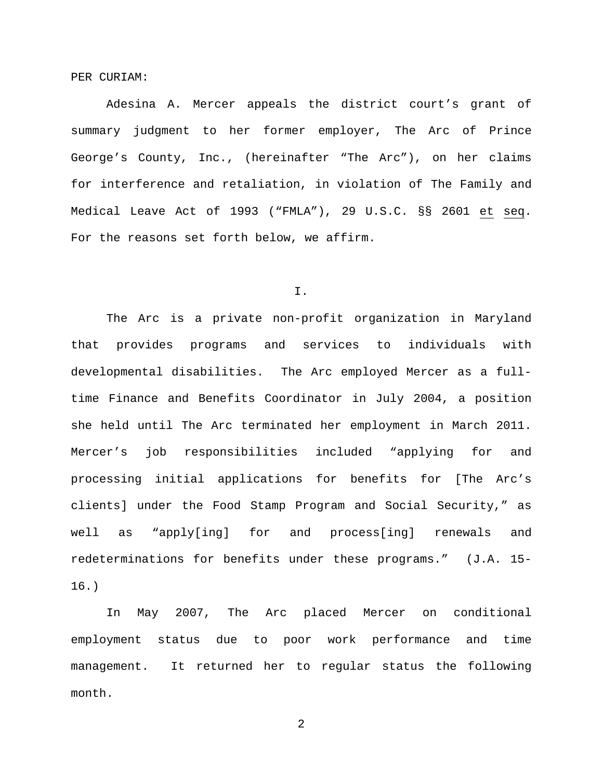PER CURIAM:

Adesina A. Mercer appeals the district court's grant of summary judgment to her former employer, The Arc of Prince George's County, Inc., (hereinafter "The Arc"), on her claims for interference and retaliation, in violation of The Family and Medical Leave Act of 1993 ("FMLA"), 29 U.S.C. §§ 2601 et seq. For the reasons set forth below, we affirm.

I.

The Arc is a private non-profit organization in Maryland that provides programs and services to individuals with developmental disabilities. The Arc employed Mercer as a fulltime Finance and Benefits Coordinator in July 2004, a position she held until The Arc terminated her employment in March 2011. Mercer's job responsibilities included "applying for and processing initial applications for benefits for [The Arc's clients] under the Food Stamp Program and Social Security," as well as "apply[ing] for and process[ing] renewals and redeterminations for benefits under these programs." (J.A. 15- 16.)

In May 2007, The Arc placed Mercer on conditional employment status due to poor work performance and time management. It returned her to regular status the following month.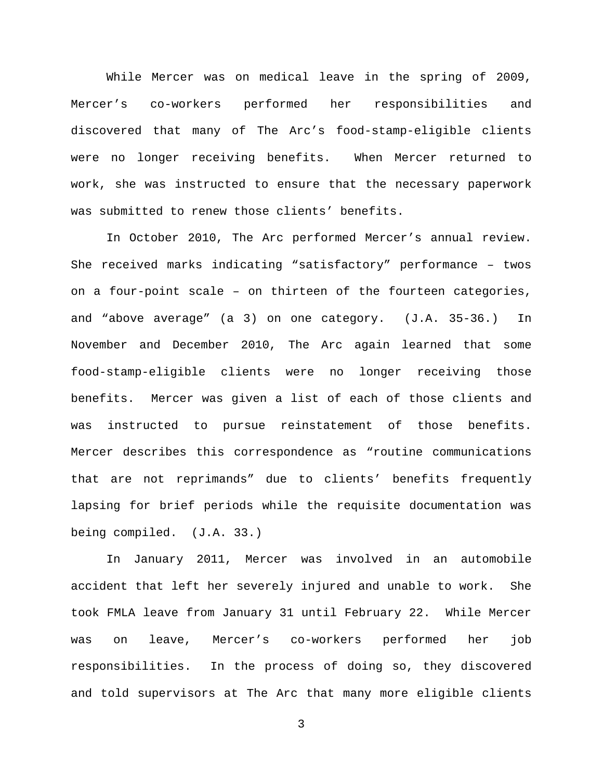While Mercer was on medical leave in the spring of 2009, Mercer's co-workers performed her responsibilities and discovered that many of The Arc's food-stamp-eligible clients were no longer receiving benefits. When Mercer returned to work, she was instructed to ensure that the necessary paperwork was submitted to renew those clients' benefits.

In October 2010, The Arc performed Mercer's annual review. She received marks indicating "satisfactory" performance – twos on a four-point scale – on thirteen of the fourteen categories, and "above average" (a 3) on one category. (J.A. 35-36.) In November and December 2010, The Arc again learned that some food-stamp-eligible clients were no longer receiving those benefits. Mercer was given a list of each of those clients and was instructed to pursue reinstatement of those benefits. Mercer describes this correspondence as "routine communications that are not reprimands" due to clients' benefits frequently lapsing for brief periods while the requisite documentation was being compiled. (J.A. 33.)

In January 2011, Mercer was involved in an automobile accident that left her severely injured and unable to work. She took FMLA leave from January 31 until February 22. While Mercer was on leave, Mercer's co-workers performed her job responsibilities. In the process of doing so, they discovered and told supervisors at The Arc that many more eligible clients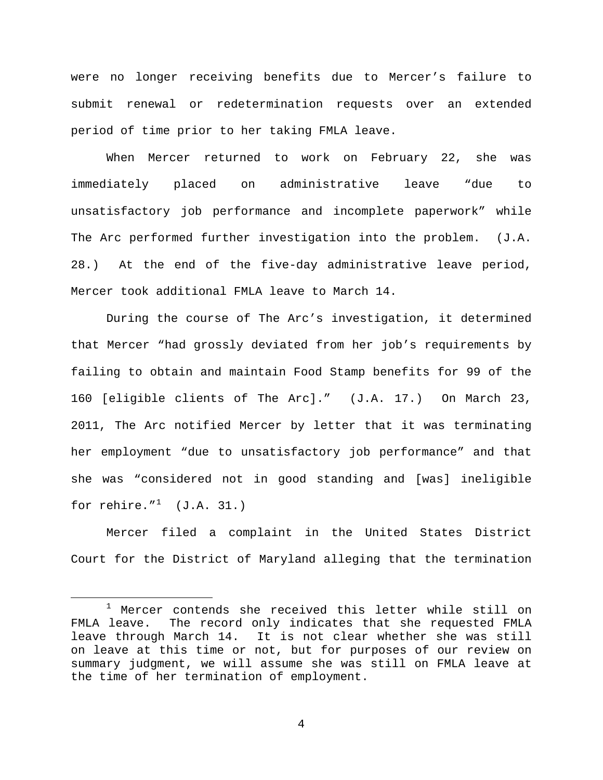were no longer receiving benefits due to Mercer's failure to submit renewal or redetermination requests over an extended period of time prior to her taking FMLA leave.

When Mercer returned to work on February 22, she was immediately placed on administrative leave "due to unsatisfactory job performance and incomplete paperwork" while The Arc performed further investigation into the problem. (J.A. 28.) At the end of the five-day administrative leave period, Mercer took additional FMLA leave to March 14.

During the course of The Arc's investigation, it determined that Mercer "had grossly deviated from her job's requirements by failing to obtain and maintain Food Stamp benefits for 99 of the 160 [eligible clients of The Arc]." (J.A. 17.) On March 23, 2011, The Arc notified Mercer by letter that it was terminating her employment "due to unsatisfactory job performance" and that she was "considered not in good standing and [was] ineligible for rehire." $1 \quad (\text{J.A. 31.})$  $1 \quad (\text{J.A. 31.})$ 

Mercer filed a complaint in the United States District Court for the District of Maryland alleging that the termination

<span id="page-3-0"></span><sup>&</sup>lt;sup>1</sup> Mercer contends she received this letter while still on FMLA leave. The record only indicates that she requested FMLA leave through March 14. It is not clear whether she was still on leave at this time or not, but for purposes of our review on summary judgment, we will assume she was still on FMLA leave at the time of her termination of employment.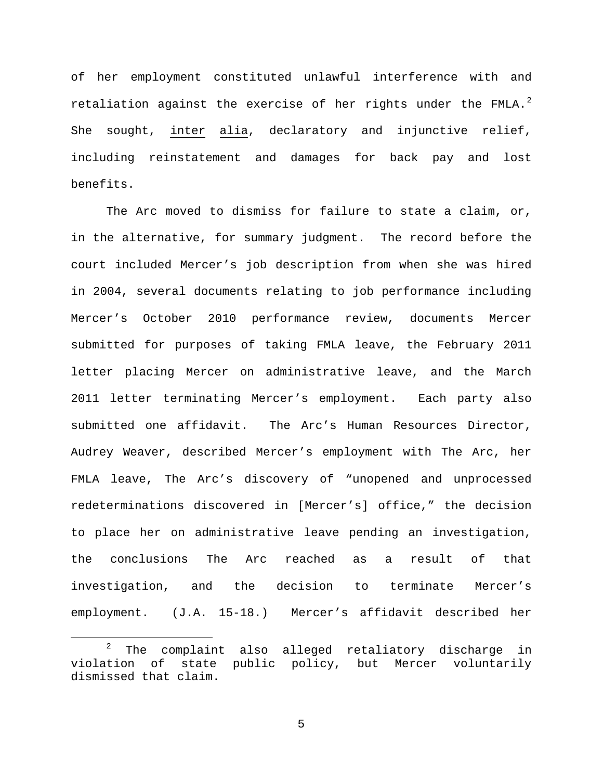of her employment constituted unlawful interference with and retaliation against the exercise of her rights under the FMLA. $^2$  $^2$ She sought, inter alia, declaratory and injunctive relief, including reinstatement and damages for back pay and lost benefits.

The Arc moved to dismiss for failure to state a claim, or, in the alternative, for summary judgment. The record before the court included Mercer's job description from when she was hired in 2004, several documents relating to job performance including Mercer's October 2010 performance review, documents Mercer submitted for purposes of taking FMLA leave, the February 2011 letter placing Mercer on administrative leave, and the March 2011 letter terminating Mercer's employment. Each party also submitted one affidavit. The Arc's Human Resources Director, Audrey Weaver, described Mercer's employment with The Arc, her FMLA leave, The Arc's discovery of "unopened and unprocessed redeterminations discovered in [Mercer's] office," the decision to place her on administrative leave pending an investigation, the conclusions The Arc reached as a result of that investigation, and the decision to terminate Mercer's employment. (J.A. 15-18.) Mercer's affidavit described her

<span id="page-4-0"></span> $2$  The complaint also alleged retaliatory discharge in violation of state public policy, but Mercer voluntarily dismissed that claim.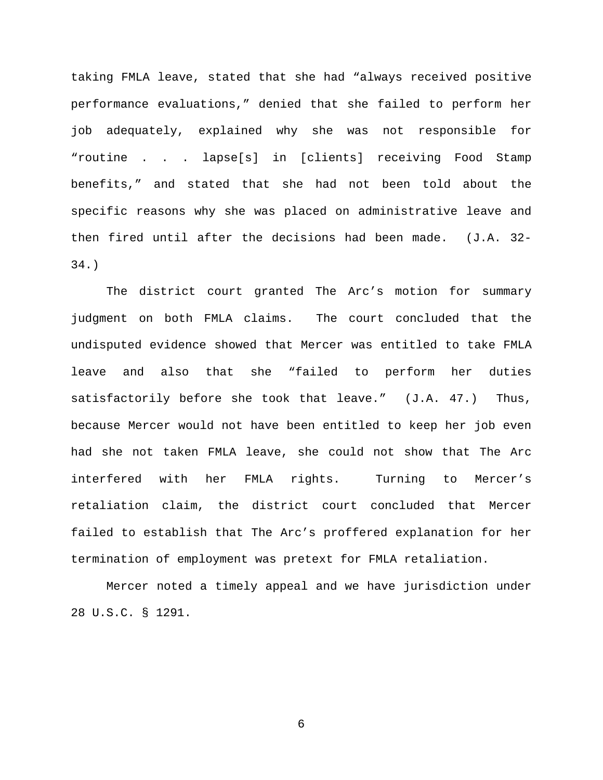taking FMLA leave, stated that she had "always received positive performance evaluations," denied that she failed to perform her job adequately, explained why she was not responsible for "routine . . . lapse[s] in [clients] receiving Food Stamp benefits," and stated that she had not been told about the specific reasons why she was placed on administrative leave and then fired until after the decisions had been made. (J.A. 32- 34.)

The district court granted The Arc's motion for summary judgment on both FMLA claims. The court concluded that the undisputed evidence showed that Mercer was entitled to take FMLA leave and also that she "failed to perform her duties satisfactorily before she took that leave." (J.A. 47.) Thus, because Mercer would not have been entitled to keep her job even had she not taken FMLA leave, she could not show that The Arc interfered with her FMLA rights. Turning to Mercer's retaliation claim, the district court concluded that Mercer failed to establish that The Arc's proffered explanation for her termination of employment was pretext for FMLA retaliation.

Mercer noted a timely appeal and we have jurisdiction under 28 U.S.C. § 1291.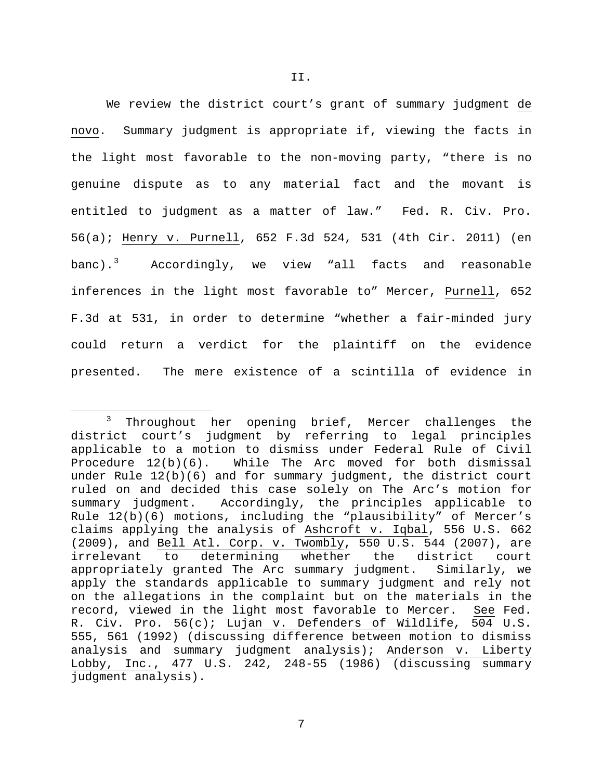We review the district court's grant of summary judgment de novo. Summary judgment is appropriate if, viewing the facts in the light most favorable to the non-moving party, "there is no genuine dispute as to any material fact and the movant is entitled to judgment as a matter of law." Fed. R. Civ. Pro. 56(a); Henry v. Purnell, 652 F.3d 524, 531 (4th Cir. 2011) (en banc).<sup>[3](#page-6-0)</sup> Accordingly, we view "all facts and reasonable inferences in the light most favorable to" Mercer, Purnell, 652 F.3d at 531, in order to determine "whether a fair-minded jury could return a verdict for the plaintiff on the evidence presented. The mere existence of a scintilla of evidence in

<span id="page-6-0"></span><sup>&</sup>lt;sup>3</sup> Throughout her opening brief, Mercer challenges the district court's judgment by referring to legal principles applicable to a motion to dismiss under Federal Rule of Civil Procedure 12(b)(6). While The Arc moved for both dismissal under Rule 12(b)(6) and for summary judgment, the district court ruled on and decided this case solely on The Arc's motion for<br>summary judgment. Accordingly, the principles applicable to Accordingly, the principles applicable to Rule 12(b)(6) motions, including the "plausibility" of Mercer's claims applying the analysis of Ashcroft v. Iqbal, 556 U.S. 662 (2009), and Bell Atl. Corp. v. Twombly, 550 U.S. 544 (2007), are irrelevant to determining whether the district court<br>appropriately qranted The Arc summary judqment. Similarly, we appropriately granted The Arc summary judgment. apply the standards applicable to summary judgment and rely not on the allegations in the complaint but on the materials in the record, viewed in the light most favorable to Mercer. See Fed. R. Civ. Pro. 56(c); Lujan v. Defenders of Wildlife, 504 U.S. 555, 561 (1992) (discussing difference between motion to dismiss analysis and summary judgment analysis); Anderson v. Liberty Lobby, Inc., 477 U.S. 242, 248-55 (1986) (discussing summary judgment analysis).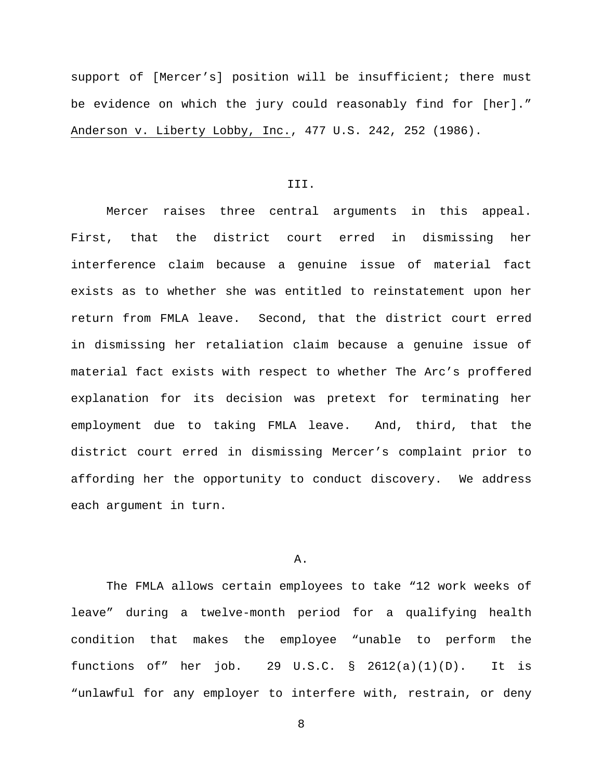support of [Mercer's] position will be insufficient; there must be evidence on which the jury could reasonably find for [her]." Anderson v. Liberty Lobby, Inc., 477 U.S. 242, 252 (1986).

# III.

Mercer raises three central arguments in this appeal. First, that the district court erred in dismissing her interference claim because a genuine issue of material fact exists as to whether she was entitled to reinstatement upon her return from FMLA leave. Second, that the district court erred in dismissing her retaliation claim because a genuine issue of material fact exists with respect to whether The Arc's proffered explanation for its decision was pretext for terminating her employment due to taking FMLA leave. And, third, that the district court erred in dismissing Mercer's complaint prior to affording her the opportunity to conduct discovery. We address each argument in turn.

### A.

The FMLA allows certain employees to take "12 work weeks of leave" during a twelve-month period for a qualifying health condition that makes the employee "unable to perform the functions of" her job. 29 U.S.C.  $\S$  2612(a)(1)(D). It is "unlawful for any employer to interfere with, restrain, or deny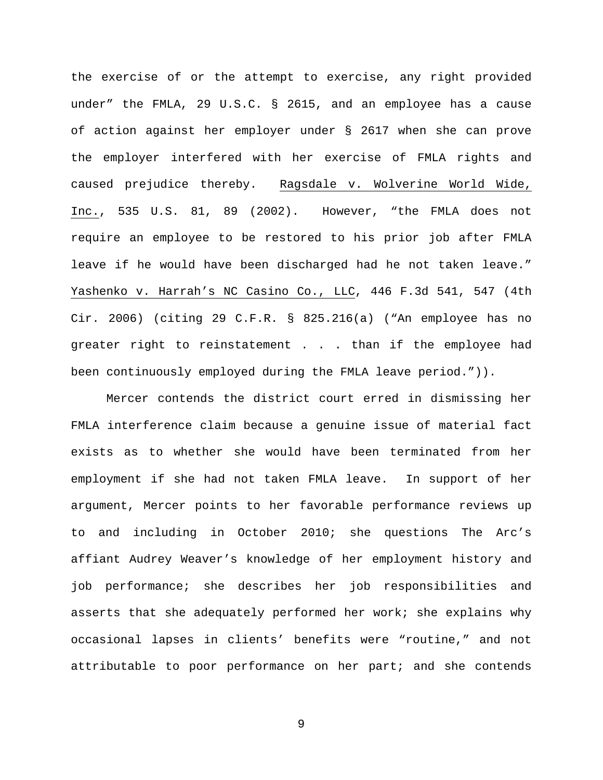the exercise of or the attempt to exercise, any right provided under" the FMLA, 29 U.S.C. § 2615, and an employee has a cause of action against her employer under § 2617 when she can prove the employer interfered with her exercise of FMLA rights and caused prejudice thereby. Ragsdale v. Wolverine World Wide, Inc., 535 U.S. 81, 89 (2002). However, "the FMLA does not require an employee to be restored to his prior job after FMLA leave if he would have been discharged had he not taken leave." Yashenko v. Harrah's NC Casino Co., LLC, 446 F.3d 541, 547 (4th Cir. 2006) (citing 29 C.F.R. § 825.216(a) ("An employee has no greater right to reinstatement . . . than if the employee had been continuously employed during the FMLA leave period.")).

Mercer contends the district court erred in dismissing her FMLA interference claim because a genuine issue of material fact exists as to whether she would have been terminated from her employment if she had not taken FMLA leave. In support of her argument, Mercer points to her favorable performance reviews up to and including in October 2010; she questions The Arc's affiant Audrey Weaver's knowledge of her employment history and job performance; she describes her job responsibilities and asserts that she adequately performed her work; she explains why occasional lapses in clients' benefits were "routine," and not attributable to poor performance on her part; and she contends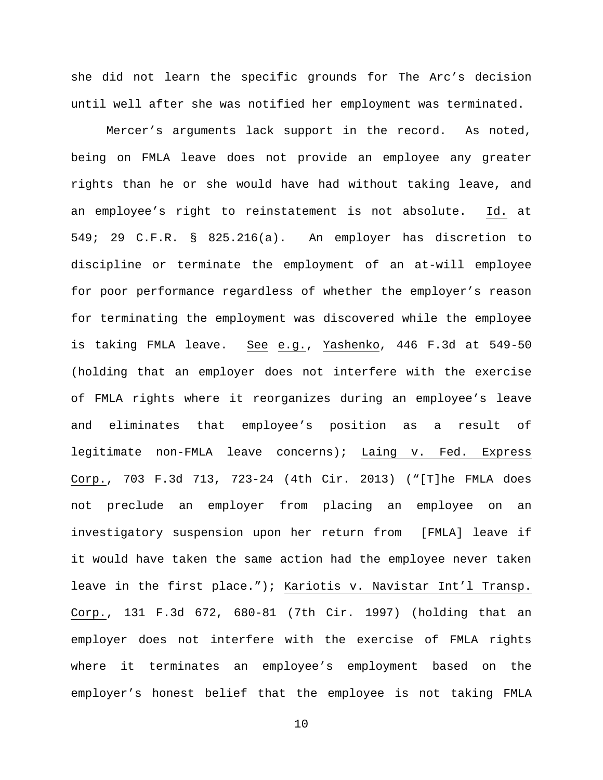she did not learn the specific grounds for The Arc's decision until well after she was notified her employment was terminated.

Mercer's arguments lack support in the record. As noted, being on FMLA leave does not provide an employee any greater rights than he or she would have had without taking leave, and an employee's right to reinstatement is not absolute. Id. at 549; 29 C.F.R. § 825.216(a). An employer has discretion to discipline or terminate the employment of an at-will employee for poor performance regardless of whether the employer's reason for terminating the employment was discovered while the employee is taking FMLA leave. See e.g., Yashenko, 446 F.3d at 549-50 (holding that an employer does not interfere with the exercise of FMLA rights where it reorganizes during an employee's leave and eliminates that employee's position as a result of legitimate non-FMLA leave concerns); Laing v. Fed. Express Corp., 703 F.3d 713, 723-24 (4th Cir. 2013) ("[T]he FMLA does not preclude an employer from placing an employee on an investigatory suspension upon her return from [FMLA] leave if it would have taken the same action had the employee never taken leave in the first place."); Kariotis v. Navistar Int'l Transp. Corp., 131 F.3d 672, 680-81 (7th Cir. 1997) (holding that an employer does not interfere with the exercise of FMLA rights where it terminates an employee's employment based on the employer's honest belief that the employee is not taking FMLA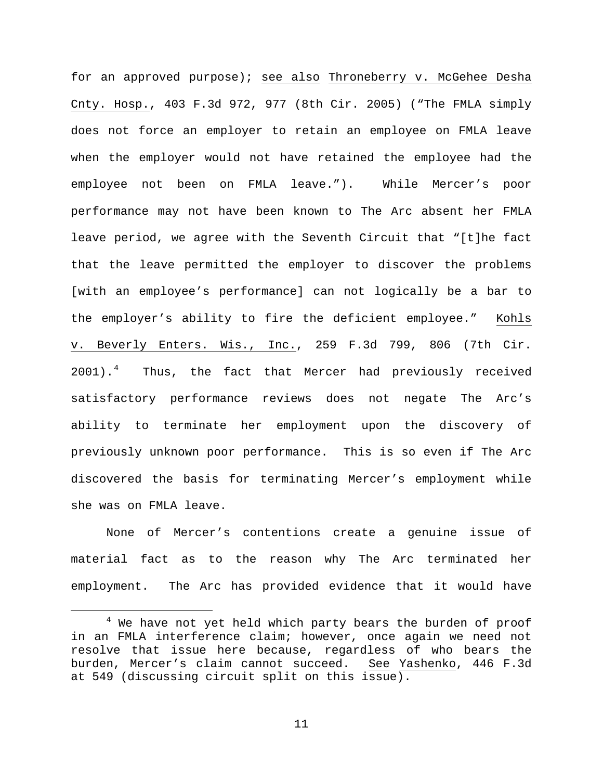for an approved purpose); see also Throneberry v. McGehee Desha Cnty. Hosp., 403 F.3d 972, 977 (8th Cir. 2005) ("The FMLA simply does not force an employer to retain an employee on FMLA leave when the employer would not have retained the employee had the employee not been on FMLA leave."). While Mercer's poor performance may not have been known to The Arc absent her FMLA leave period, we agree with the Seventh Circuit that "[t]he fact that the leave permitted the employer to discover the problems [with an employee's performance] can not logically be a bar to the employer's ability to fire the deficient employee." Kohls v. Beverly Enters. Wis., Inc., 259 F.3d 799, 806 (7th Cir. 2001).<sup>[4](#page-10-0)</sup> Thus, the fact that Mercer had previously received satisfactory performance reviews does not negate The Arc's ability to terminate her employment upon the discovery of previously unknown poor performance. This is so even if The Arc discovered the basis for terminating Mercer's employment while she was on FMLA leave.

None of Mercer's contentions create a genuine issue of material fact as to the reason why The Arc terminated her employment. The Arc has provided evidence that it would have

<span id="page-10-0"></span><sup>&</sup>lt;sup>4</sup> We have not yet held which party bears the burden of proof in an FMLA interference claim; however, once again we need not resolve that issue here because, regardless of who bears the burden, Mercer's claim cannot succeed. See Yashenko, 446 F.3d at 549 (discussing circuit split on this issue).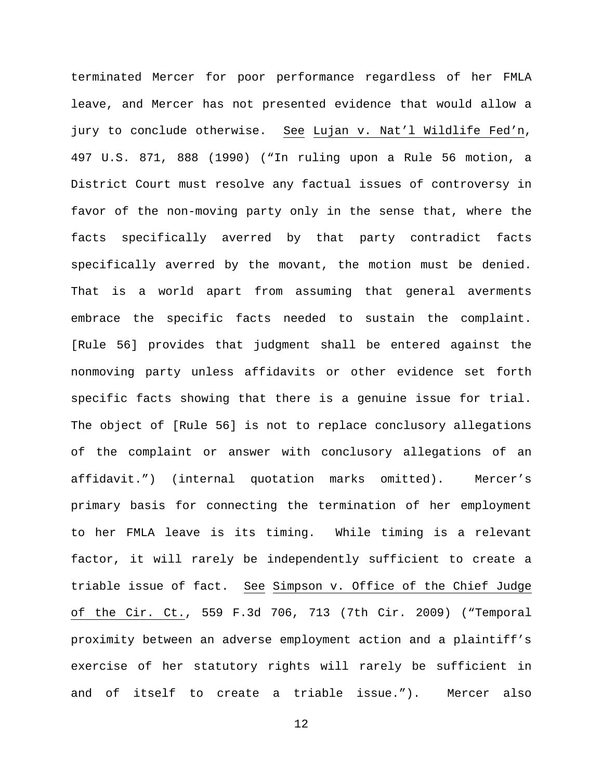terminated Mercer for poor performance regardless of her FMLA leave, and Mercer has not presented evidence that would allow a jury to conclude otherwise. See Lujan v. Nat'l Wildlife Fed'n, 497 U.S. 871, 888 (1990) ("In ruling upon a Rule 56 motion, a District Court must resolve any factual issues of controversy in favor of the non-moving party only in the sense that, where the facts specifically averred by that party contradict facts specifically averred by the movant, the motion must be denied. That is a world apart from assuming that general averments embrace the specific facts needed to sustain the complaint. [Rule 56] provides that judgment shall be entered against the nonmoving party unless affidavits or other evidence set forth specific facts showing that there is a genuine issue for trial. The object of [Rule 56] is not to replace conclusory allegations of the complaint or answer with conclusory allegations of an affidavit.") (internal quotation marks omitted). Mercer's primary basis for connecting the termination of her employment to her FMLA leave is its timing. While timing is a relevant factor, it will rarely be independently sufficient to create a triable issue of fact. See Simpson v. Office of the Chief Judge of the Cir. Ct., 559 F.3d 706, 713 (7th Cir. 2009) ("Temporal proximity between an adverse employment action and a plaintiff's exercise of her statutory rights will rarely be sufficient in and of itself to create a triable issue."). Mercer also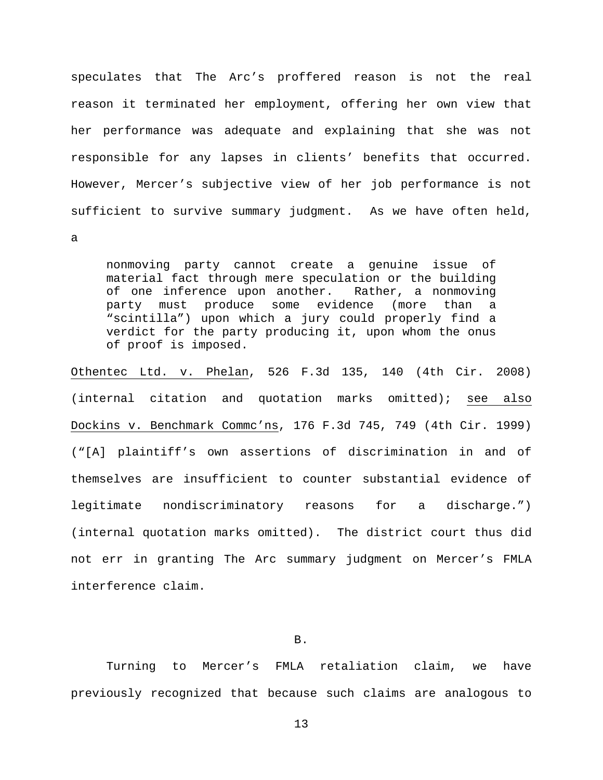speculates that The Arc's proffered reason is not the real reason it terminated her employment, offering her own view that her performance was adequate and explaining that she was not responsible for any lapses in clients' benefits that occurred. However, Mercer's subjective view of her job performance is not sufficient to survive summary judgment. As we have often held,

a

nonmoving party cannot create a genuine issue of material fact through mere speculation or the building of one inference upon another. Rather, a nonmoving<br>party must produce some evidence (more than a party must produce some evidence (more than a "scintilla") upon which a jury could properly find a verdict for the party producing it, upon whom the onus of proof is imposed.

Othentec Ltd. v. Phelan, 526 F.3d 135, 140 (4th Cir. 2008) (internal citation and quotation marks omitted); see also Dockins v. Benchmark Commc'ns, 176 F.3d 745, 749 (4th Cir. 1999) ("[A] plaintiff's own assertions of discrimination in and of themselves are insufficient to counter substantial evidence of legitimate nondiscriminatory reasons for a discharge.") (internal quotation marks omitted). The district court thus did not err in granting The Arc summary judgment on Mercer's FMLA interference claim.

# B.

Turning to Mercer's FMLA retaliation claim, we have previously recognized that because such claims are analogous to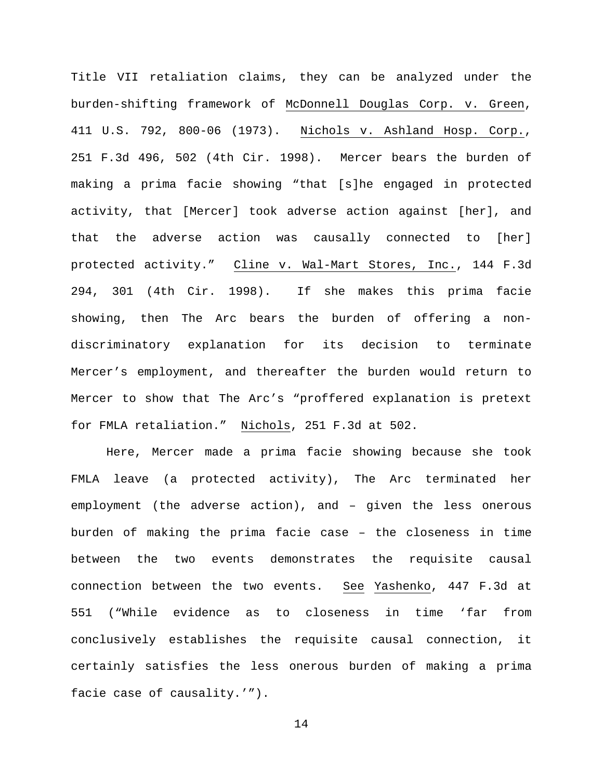Title VII retaliation claims, they can be analyzed under the burden-shifting framework of McDonnell Douglas Corp. v. Green, 411 U.S. 792, 800-06 (1973). Nichols v. Ashland Hosp. Corp., 251 F.3d 496, 502 (4th Cir. 1998). Mercer bears the burden of making a prima facie showing "that [s]he engaged in protected activity, that [Mercer] took adverse action against [her], and that the adverse action was causally connected to [her] protected activity." Cline v. Wal-Mart Stores, Inc., 144 F.3d 294, 301 (4th Cir. 1998). If she makes this prima facie showing, then The Arc bears the burden of offering a nondiscriminatory explanation for its decision to terminate Mercer's employment, and thereafter the burden would return to Mercer to show that The Arc's "proffered explanation is pretext for FMLA retaliation." Nichols, 251 F.3d at 502.

Here, Mercer made a prima facie showing because she took FMLA leave (a protected activity), The Arc terminated her employment (the adverse action), and – given the less onerous burden of making the prima facie case – the closeness in time between the two events demonstrates the requisite causal connection between the two events. See Yashenko, 447 F.3d at 551 ("While evidence as to closeness in time 'far from conclusively establishes the requisite causal connection, it certainly satisfies the less onerous burden of making a prima facie case of causality.'").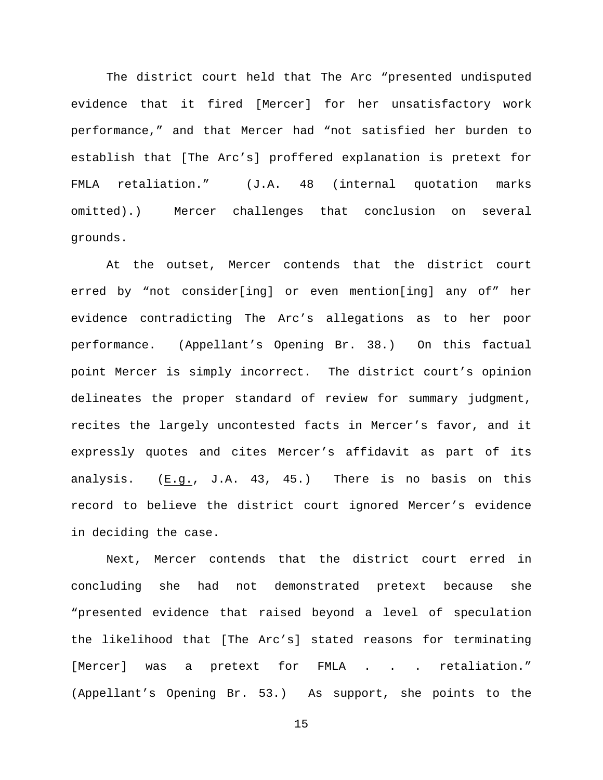The district court held that The Arc "presented undisputed evidence that it fired [Mercer] for her unsatisfactory work performance," and that Mercer had "not satisfied her burden to establish that [The Arc's] proffered explanation is pretext for FMLA retaliation." (J.A. 48 (internal quotation marks omitted).) Mercer challenges that conclusion on several grounds.

At the outset, Mercer contends that the district court erred by "not consider[ing] or even mention[ing] any of" her evidence contradicting The Arc's allegations as to her poor performance. (Appellant's Opening Br. 38.) On this factual point Mercer is simply incorrect. The district court's opinion delineates the proper standard of review for summary judgment, recites the largely uncontested facts in Mercer's favor, and it expressly quotes and cites Mercer's affidavit as part of its analysis. (E.g., J.A. 43, 45.) There is no basis on this record to believe the district court ignored Mercer's evidence in deciding the case.

Next, Mercer contends that the district court erred in concluding she had not demonstrated pretext because she "presented evidence that raised beyond a level of speculation the likelihood that [The Arc's] stated reasons for terminating [Mercer] was a pretext for FMLA . . . retaliation." (Appellant's Opening Br. 53.) As support, she points to the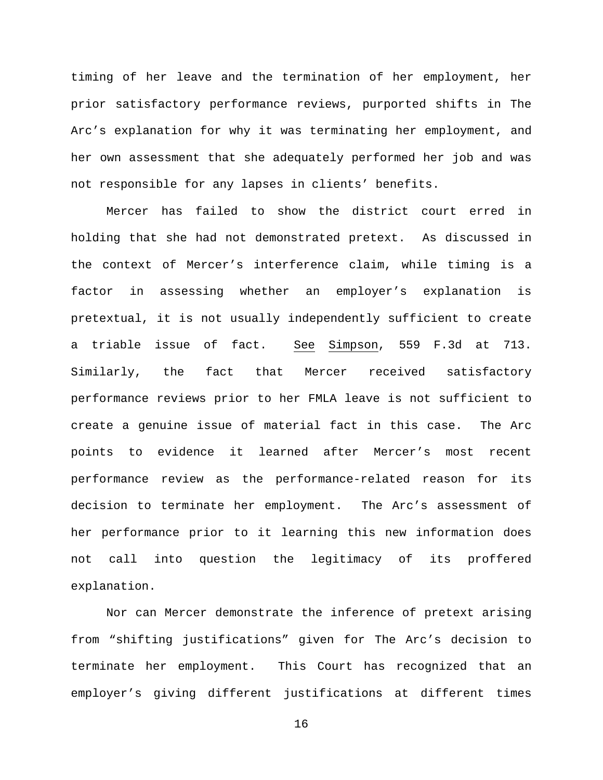timing of her leave and the termination of her employment, her prior satisfactory performance reviews, purported shifts in The Arc's explanation for why it was terminating her employment, and her own assessment that she adequately performed her job and was not responsible for any lapses in clients' benefits.

Mercer has failed to show the district court erred in holding that she had not demonstrated pretext. As discussed in the context of Mercer's interference claim, while timing is a factor in assessing whether an employer's explanation is pretextual, it is not usually independently sufficient to create a triable issue of fact. See Simpson, 559 F.3d at 713. Similarly, the fact that Mercer received satisfactory performance reviews prior to her FMLA leave is not sufficient to create a genuine issue of material fact in this case. The Arc points to evidence it learned after Mercer's most recent performance review as the performance-related reason for its decision to terminate her employment. The Arc's assessment of her performance prior to it learning this new information does not call into question the legitimacy of its proffered explanation.

Nor can Mercer demonstrate the inference of pretext arising from "shifting justifications" given for The Arc's decision to terminate her employment. This Court has recognized that an employer's giving different justifications at different times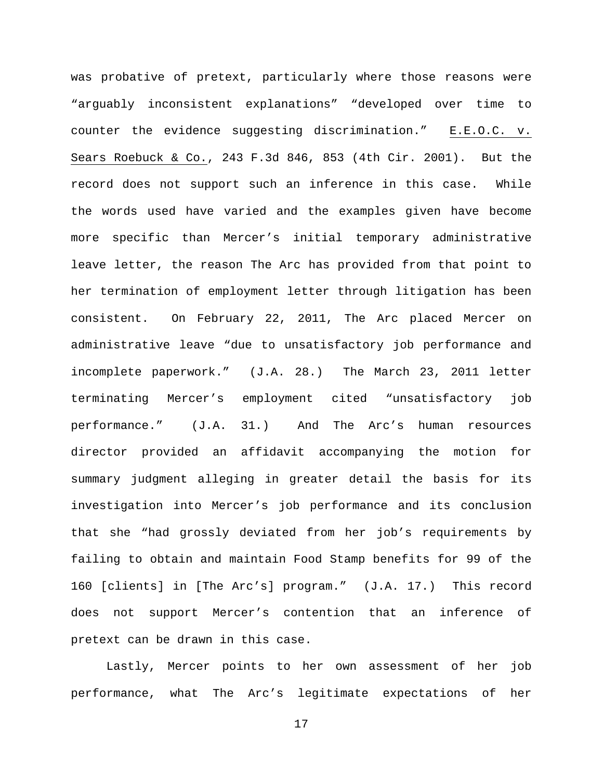was probative of pretext, particularly where those reasons were "arguably inconsistent explanations" "developed over time to counter the evidence suggesting discrimination." E.E.O.C. v. Sears Roebuck & Co., 243 F.3d 846, 853 (4th Cir. 2001). But the record does not support such an inference in this case. While the words used have varied and the examples given have become more specific than Mercer's initial temporary administrative leave letter, the reason The Arc has provided from that point to her termination of employment letter through litigation has been consistent. On February 22, 2011, The Arc placed Mercer on administrative leave "due to unsatisfactory job performance and incomplete paperwork." (J.A. 28.) The March 23, 2011 letter terminating Mercer's employment cited "unsatisfactory job performance." (J.A. 31.) And The Arc's human resources director provided an affidavit accompanying the motion for summary judgment alleging in greater detail the basis for its investigation into Mercer's job performance and its conclusion that she "had grossly deviated from her job's requirements by failing to obtain and maintain Food Stamp benefits for 99 of the 160 [clients] in [The Arc's] program." (J.A. 17.) This record does not support Mercer's contention that an inference of pretext can be drawn in this case.

Lastly, Mercer points to her own assessment of her job performance, what The Arc's legitimate expectations of her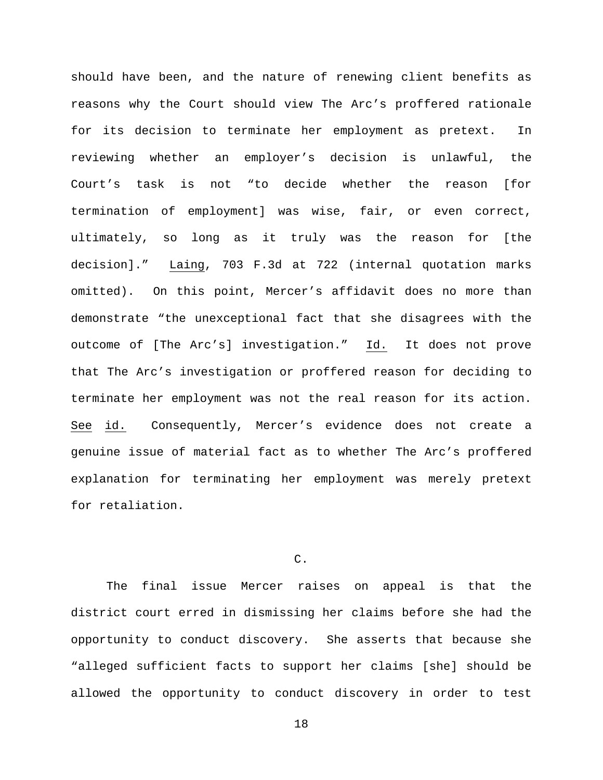should have been, and the nature of renewing client benefits as reasons why the Court should view The Arc's proffered rationale for its decision to terminate her employment as pretext. In reviewing whether an employer's decision is unlawful, the Court's task is not "to decide whether the reason [for termination of employment] was wise, fair, or even correct, ultimately, so long as it truly was the reason for [the decision]." Laing, 703 F.3d at 722 (internal quotation marks omitted). On this point, Mercer's affidavit does no more than demonstrate "the unexceptional fact that she disagrees with the outcome of [The Arc's] investigation." Id. It does not prove that The Arc's investigation or proffered reason for deciding to terminate her employment was not the real reason for its action. See id. Consequently, Mercer's evidence does not create a genuine issue of material fact as to whether The Arc's proffered explanation for terminating her employment was merely pretext for retaliation.

# C.

The final issue Mercer raises on appeal is that the district court erred in dismissing her claims before she had the opportunity to conduct discovery. She asserts that because she "alleged sufficient facts to support her claims [she] should be allowed the opportunity to conduct discovery in order to test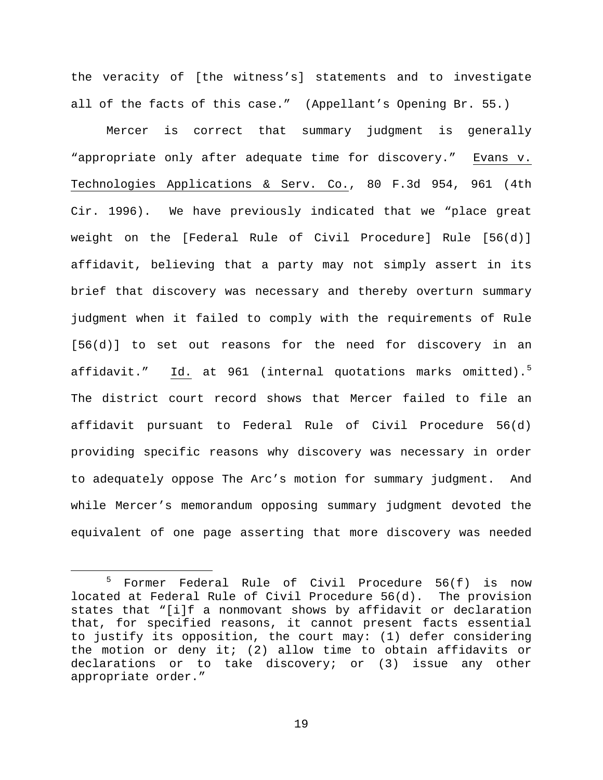the veracity of [the witness's] statements and to investigate all of the facts of this case." (Appellant's Opening Br. 55.)

Mercer is correct that summary judgment is generally "appropriate only after adequate time for discovery." Evans v. Technologies Applications & Serv. Co., 80 F.3d 954, 961 (4th Cir. 1996). We have previously indicated that we "place great weight on the [Federal Rule of Civil Procedure] Rule [56(d)] affidavit, believing that a party may not simply assert in its brief that discovery was necessary and thereby overturn summary judgment when it failed to comply with the requirements of Rule [56(d)] to set out reasons for the need for discovery in an affidavit." <u>Id.</u> at 961 (internal quotations marks omitted).<sup>[5](#page-18-0)</sup> The district court record shows that Mercer failed to file an affidavit pursuant to Federal Rule of Civil Procedure 56(d) providing specific reasons why discovery was necessary in order to adequately oppose The Arc's motion for summary judgment. And while Mercer's memorandum opposing summary judgment devoted the equivalent of one page asserting that more discovery was needed

<span id="page-18-0"></span> <sup>5</sup> Former Federal Rule of Civil Procedure 56(f) is now located at Federal Rule of Civil Procedure 56(d). The provision states that "[i]f a nonmovant shows by affidavit or declaration that, for specified reasons, it cannot present facts essential to justify its opposition, the court may: (1) defer considering the motion or deny it; (2) allow time to obtain affidavits or declarations or to take discovery; or (3) issue any other appropriate order."